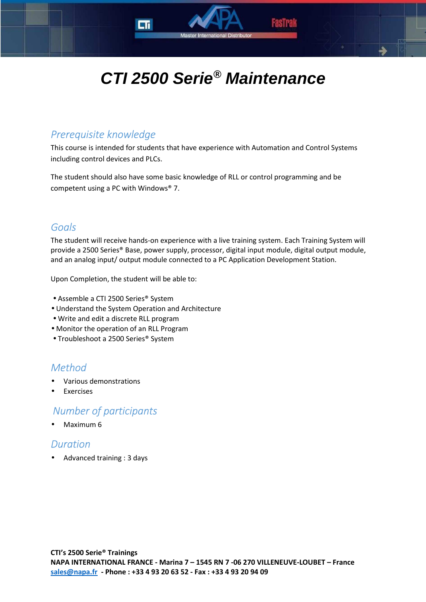

Master International D

## *Prerequisite knowledge*

This course is intended for students that have experience with Automation and Control Systems including control devices and PLCs.

The student should also have some basic knowledge of RLL or control programming and be competent using a PC with Windows® 7.

### *Goals*

The student will receive hands-on experience with a live training system. Each Training System will provide a 2500 Series® Base, power supply, processor, digital input module, digital output module, and an analog input/ output module connected to a PC Application Development Station.

Upon Completion, the student will be able to:

- Assemble a CTI 2500 Series® System
- Understand the System Operation and Architecture
- Write and edit a discrete RLL program
- Monitor the operation of an RLL Program
- Troubleshoot a 2500 Series® System

# *Method*

- Various demonstrations
- **Exercises**

## *Number of participants*

• Maximum 6

### *Duration*

• Advanced training : 3 days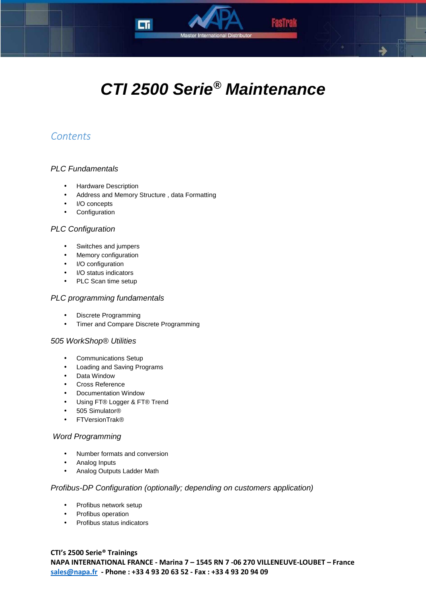

Master International Distributor

# *Contents*

### PLC Fundamentals

- Hardware Description
- Address and Memory Structure , data Formatting
- I/O concepts
- Configuration

#### PLC Configuration

- Switches and jumpers
- Memory configuration
- I/O configuration
- I/O status indicators
- PLC Scan time setup

#### PLC programming fundamentals

- Discrete Programming
- Timer and Compare Discrete Programming

#### 505 WorkShop® Utilities

- Communications Setup
- Loading and Saving Programs
- Data Window
- Cross Reference
- Documentation Window
- Using FT® Logger & FT® Trend
- 505 Simulator®
- FTVersionTrak®

#### Word Programming

- Number formats and conversion
- Analog Inputs
- Analog Outputs Ladder Math

#### Profibus-DP Configuration (optionally; depending on customers application)

- Profibus network setup
- Profibus operation
- Profibus status indicators